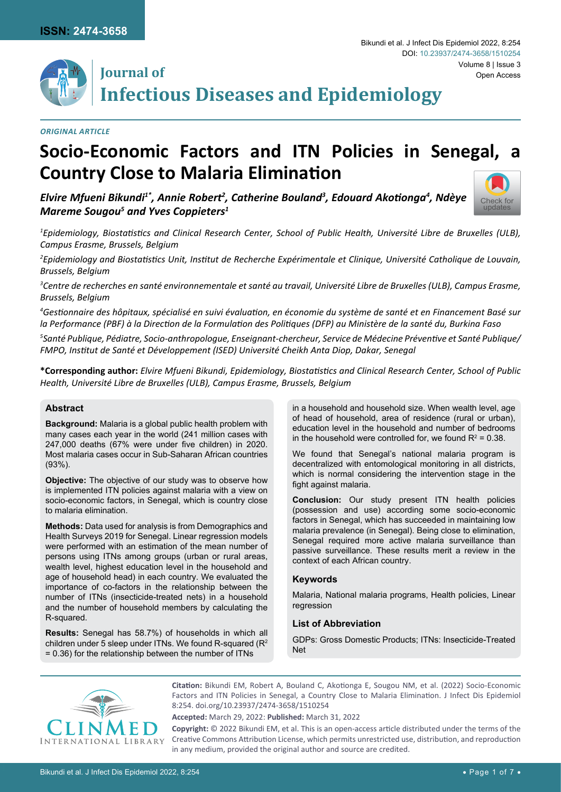

## **Journal of Infectious Diseases and Epidemiology**

## *Original Article*

# **Socio-Economic Factors and ITN Policies in Senegal, a Country Close to Malaria Elimination**

*Elvire Mfueni Bikundi1\*, Annie Robert2 , Catherine Bouland3 , Edouard Akotionga<sup>4</sup> , Ndèye Mareme Sougou<sup>5</sup> and Yves Coppieters1*



*1 Epidemiology, Biostatistics and Clinical Research Center, School of Public Health, Université Libre de Bruxelles (ULB), Campus Erasme, Brussels, Belgium*

*2 Epidemiology and Biostatistics Unit, Institut de Recherche Expérimentale et Clinique, Université Catholique de Louvain, Brussels, Belgium*

*3 Centre de recherches en santé environnementale et santé au travail, Université Libre de Bruxelles (ULB), Campus Erasme, Brussels, Belgium*

*4 Gestionnaire des hôpitaux, spécialisé en suivi évaluation, en économie du système de santé et en Financement Basé sur la Performance (PBF) à la Direction de la Formulation des Politiques (DFP) au Ministère de la santé du, Burkina Faso*

*5 Santé Publique, Pédiatre, Socio-anthropologue, Enseignant-chercheur, Service de Médecine Préventive et Santé Publique/ FMPO, Institut de Santé et Développement (ISED) Université Cheikh Anta Diop, Dakar, Senegal*

**\*Corresponding author:** *Elvire Mfueni Bikundi, Epidemiology, Biostatistics and Clinical Research Center, School of Public Health, Université Libre de Bruxelles (ULB), Campus Erasme, Brussels, Belgium*

#### **Abstract**

**Background:** Malaria is a global public health problem with many cases each year in the world (241 million cases with 247,000 deaths (67% were under five children) in 2020. Most malaria cases occur in Sub-Saharan African countries (93%).

**Objective:** The objective of our study was to observe how is implemented ITN policies against malaria with a view on socio-economic factors, in Senegal, which is country close to malaria elimination.

**Methods:** Data used for analysis is from Demographics and Health Surveys 2019 for Senegal. Linear regression models were performed with an estimation of the mean number of persons using ITNs among groups (urban or rural areas, wealth level, highest education level in the household and age of household head) in each country. We evaluated the importance of co-factors in the relationship between the number of ITNs (insecticide-treated nets) in a household and the number of household members by calculating the R-squared.

**Results:** Senegal has 58.7%) of households in which all children under 5 sleep under ITNs. We found R-squared (R<sup>2</sup> = 0.36) for the relationship between the number of ITNs

in a household and household size. When wealth level, age of head of household, area of residence (rural or urban), education level in the household and number of bedrooms in the household were controlled for, we found  $R^2$  = 0.38.

We found that Senegal's national malaria program is decentralized with entomological monitoring in all districts, which is normal considering the intervention stage in the fight against malaria.

**Conclusion:** Our study present ITN health policies (possession and use) according some socio-economic factors in Senegal, which has succeeded in maintaining low malaria prevalence (in Senegal). Being close to elimination, Senegal required more active malaria surveillance than passive surveillance. These results merit a review in the context of each African country.

#### **Keywords**

Malaria, National malaria programs, Health policies, Linear regression

### **List of Abbreviation**

GDPs: Gross Domestic Products; ITNs: Insecticide-Treated Net



**Citation:** Bikundi EM, Robert A, Bouland C, Akotionga E, Sougou NM, et al. (2022) Socio-Economic Factors and ITN Policies in Senegal, a Country Close to Malaria Elimination. J Infect Dis Epidemiol 8:254. [doi.org/10.23937/2474-3658/1510254](https://doi.org/10.23937/2474-3658/1510254)

**Accepted:** March 29, 2022: **Published:** March 31, 2022

**Copyright:** © 2022 Bikundi EM, et al. This is an open-access article distributed under the terms of the Creative Commons Attribution License, which permits unrestricted use, distribution, and reproduction in any medium, provided the original author and source are credited.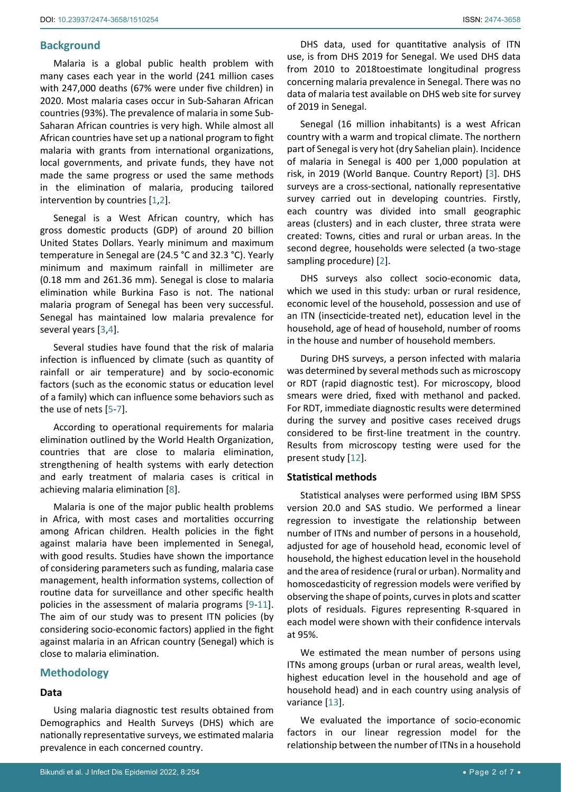## **Background**

Malaria is a global public health problem with many cases each year in the world (241 million cases with 247,000 deaths (67% were under five children) in 2020. Most malaria cases occur in Sub-Saharan African countries (93%). The prevalence of malaria in some Sub-Saharan African countries is very high. While almost all African countries have set up a national program to fight malaria with grants from international organizations, local governments, and private funds, they have not made the same progress or used the same methods in the elimination of malaria, producing tailored intervention by countries [\[1](#page-5-0),[2](#page-5-1)].

Senegal is a West African country, which has gross domestic products (GDP) of around 20 billion United States Dollars. Yearly minimum and maximum temperature in Senegal are (24.5 °C and 32.3 °C). Yearly minimum and maximum rainfall in millimeter are (0.18 mm and 261.36 mm). Senegal is close to malaria elimination while Burkina Faso is not. The national malaria program of Senegal has been very successful. Senegal has maintained low malaria prevalence for several years [[3](#page-5-2),[4](#page-5-3)].

Several studies have found that the risk of malaria infection is influenced by climate (such as quantity of rainfall or air temperature) and by socio-economic factors (such as the economic status or education level of a family) which can influence some behaviors such as the use of nets [[5](#page-5-4)-[7](#page-5-5)].

According to operational requirements for malaria elimination outlined by the World Health Organization, countries that are close to malaria elimination, strengthening of health systems with early detection and early treatment of malaria cases is critical in achieving malaria elimination [[8](#page-5-6)].

Malaria is one of the major public health problems in Africa, with most cases and mortalities occurring among African children. Health policies in the fight against malaria have been implemented in Senegal, with good results. Studies have shown the importance of considering parameters such as funding, malaria case management, health information systems, collection of routine data for surveillance and other specific health policies in the assessment of malaria programs [\[9](#page-5-7)[-11](#page-6-0)]. The aim of our study was to present ITN policies (by considering socio-economic factors) applied in the fight against malaria in an African country (Senegal) which is close to malaria elimination.

## **Methodology**

#### **Data**

Using malaria diagnostic test results obtained from Demographics and Health Surveys (DHS) which are nationally representative surveys, we estimated malaria prevalence in each concerned country.

DHS data, used for quantitative analysis of ITN use, is from DHS 2019 for Senegal. We used DHS data from 2010 to 2018toestimate longitudinal progress concerning malaria prevalence in Senegal. There was no data of malaria test available on DHS web site for survey of 2019 in Senegal.

Senegal (16 million inhabitants) is a west African country with a warm and tropical climate. The northern part of Senegal is very hot (dry Sahelian plain). Incidence of malaria in Senegal is 400 per 1,000 population at risk, in 2019 (World Banque. Country Report) [[3](#page-5-2)]. DHS surveys are a cross-sectional, nationally representative survey carried out in developing countries. Firstly, each country was divided into small geographic areas (clusters) and in each cluster, three strata were created: Towns, cities and rural or urban areas. In the second degree, households were selected (a two-stage sampling procedure) [[2\]](#page-5-1).

DHS surveys also collect socio-economic data, which we used in this study: urban or rural residence, economic level of the household, possession and use of an ITN (insecticide-treated net), education level in the household, age of head of household, number of rooms in the house and number of household members.

During DHS surveys, a person infected with malaria was determined by several methods such as microscopy or RDT (rapid diagnostic test). For microscopy, blood smears were dried, fixed with methanol and packed. For RDT, immediate diagnostic results were determined during the survey and positive cases received drugs considered to be first-line treatment in the country. Results from microscopy testing were used for the present study [[12](#page-6-1)].

### **Statistical methods**

Statistical analyses were performed using IBM SPSS version 20.0 and SAS studio. We performed a linear regression to investigate the relationship between number of ITNs and number of persons in a household, adjusted for age of household head, economic level of household, the highest education level in the household and the area of residence (rural or urban). Normality and homoscedasticity of regression models were verified by observing the shape of points, curves in plots and scatter plots of residuals. Figures representing R-squared in each model were shown with their confidence intervals at 95%.

We estimated the mean number of persons using ITNs among groups (urban or rural areas, wealth level, highest education level in the household and age of household head) and in each country using analysis of variance [\[13\]](#page-6-2).

We evaluated the importance of socio-economic factors in our linear regression model for the relationship between the number of ITNs in a household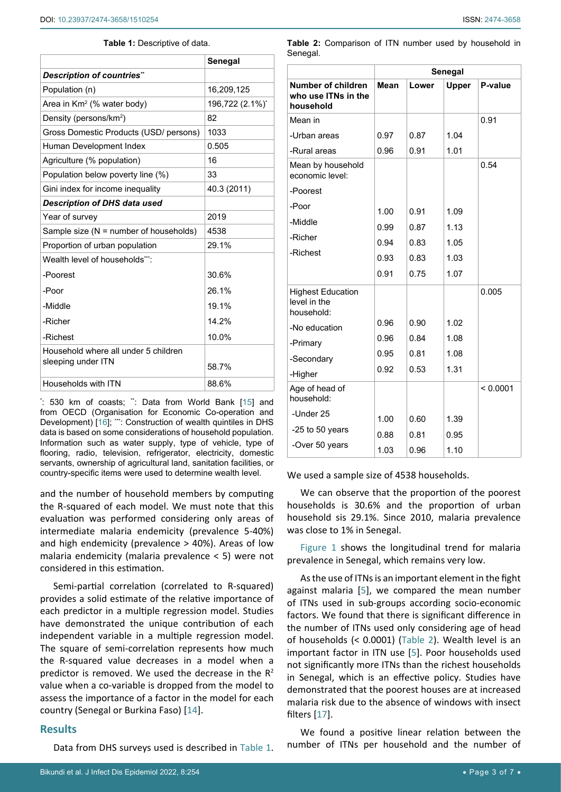#### **Table 1:** Descriptive of data.

|                                        | Senegal         |  |
|----------------------------------------|-----------------|--|
| Description of countries"              |                 |  |
| Population (n)                         | 16,209,125      |  |
| Area in $Km^2$ (% water body)          | 196,722 (2.1%)* |  |
| Density (persons/km <sup>2</sup> )     | 82              |  |
| Gross Domestic Products (USD/ persons) | 1033            |  |
| Human Development Index                | 0.505           |  |
| Agriculture (% population)             | 16              |  |
| Population below poverty line (%)      | 33              |  |
| Gini index for income inequality       | 40.3 (2011)     |  |
| <b>Description of DHS data used</b>    |                 |  |
| Year of survey                         | 2019            |  |
| Sample size (N = number of households) | 4538            |  |
| Proportion of urban population         | 29.1%           |  |
| Wealth level of households***:         |                 |  |
| -Poorest                               | 30.6%           |  |
| -Poor                                  | 26.1%           |  |
| -Middle                                | 19.1%           |  |
| -Richer                                | 14.2%           |  |
| -Richest                               | 10.0%           |  |
| Household where all under 5 children   |                 |  |
| sleeping under ITN                     | 58.7%           |  |
| Households with ITN                    | 88.6%           |  |

\* : 530 km of coasts; \*\*: Data from World Bank [[15](#page-6-5)] and from OECD (Organisation for Economic Co-operation and Development) [[16\]](#page-6-6); \*\*\*: Construction of wealth quintiles in DHS data is based on some considerations of household population. Information such as water supply, type of vehicle, type of flooring, radio, television, refrigerator, electricity, domestic servants, ownership of agricultural land, sanitation facilities, or country-specific items were used to determine wealth level.

and the number of household members by computing the R-squared of each model. We must note that this evaluation was performed considering only areas of intermediate malaria endemicity (prevalence 5-40%) and high endemicity (prevalence > 40%). Areas of low malaria endemicity (malaria prevalence < 5) were not considered in this estimation.

Semi-partial correlation (correlated to R-squared) provides a solid estimate of the relative importance of each predictor in a multiple regression model. Studies have demonstrated the unique contribution of each independent variable in a multiple regression model. The square of semi-correlation represents how much the R-squared value decreases in a model when a predictor is removed. We used the decrease in the  $R^2$ value when a co-variable is dropped from the model to assess the importance of a factor in the model for each country (Senegal or Burkina Faso) [\[14\]](#page-6-4).

## **Results**

Data from DHS surveys used is described in Table 1.

**Table 2:** Comparison of ITN number used by household in Senegal.

|                                                        | Senegal |       |              |          |  |
|--------------------------------------------------------|---------|-------|--------------|----------|--|
| Number of children<br>who use ITNs in the<br>household | Mean    | Lower | <b>Upper</b> | P-value  |  |
| Mean in                                                |         |       |              | 0.91     |  |
| -Urban areas                                           | 0.97    | 0.87  | 1.04         |          |  |
| -Rural areas                                           | 0.96    | 0.91  | 1.01         |          |  |
| Mean by household<br>economic level:                   |         |       |              | 0.54     |  |
| -Poorest                                               |         |       |              |          |  |
| -Poor                                                  | 1.00    | 0.91  | 1.09         |          |  |
| -Middle                                                | 0.99    | 0.87  | 1.13         |          |  |
| -Richer                                                | 0.94    | 0.83  | 1.05         |          |  |
| -Richest                                               | 0.93    | 0.83  | 1.03         |          |  |
|                                                        | 0.91    | 0.75  | 1.07         |          |  |
| <b>Highest Education</b><br>level in the<br>household: |         |       |              | 0.005    |  |
| -No education                                          | 0.96    | 0.90  | 1.02         |          |  |
| -Primary                                               | 0.96    | 0.84  | 1.08         |          |  |
| -Secondary                                             | 0.95    | 0.81  | 1.08         |          |  |
| -Higher                                                | 0.92    | 0.53  | 1.31         |          |  |
| Age of head of<br>household:                           |         |       |              | < 0.0001 |  |
| -Under 25                                              | 1.00    | 0.60  | 1.39         |          |  |
| -25 to 50 years                                        | 0.88    | 0.81  | 0.95         |          |  |
| -Over 50 years                                         | 1.03    | 0.96  | 1.10         |          |  |

We used a sample size of 4538 households.

We can observe that the proportion of the poorest households is 30.6% and the proportion of urban household sis 29.1%. Since 2010, malaria prevalence was close to 1% in Senegal.

Figure 1 shows the longitudinal trend for malaria prevalence in Senegal, which remains very low.

As the use of ITNs is an important element in the fight against malaria [\[5\]](#page-5-4), we compared the mean number of ITNs used in sub-groups according socio-economic factors. We found that there is significant difference in the number of ITNs used only considering age of head of households (< 0.0001) (Table 2). Wealth level is an important factor in ITN use [[5](#page-5-4)]. Poor households used not significantly more ITNs than the richest households in Senegal, which is an effective policy. Studies have demonstrated that the poorest houses are at increased malaria risk due to the absence of windows with insect filters [\[17](#page-6-3)].

We found a positive linear relation between the number of ITNs per household and the number of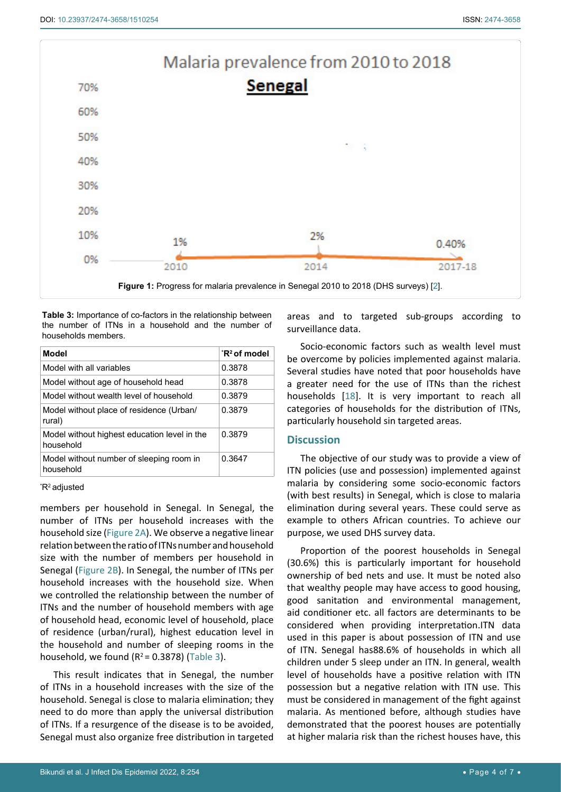

**Table 3:** Importance of co-factors in the relationship between the number of ITNs in a household and the number of households members.

| Model                                                     | $R^2$ of model |
|-----------------------------------------------------------|----------------|
| Model with all variables                                  | 0.3878         |
| Model without age of household head                       | 0.3878         |
| Model without wealth level of household                   | 0.3879         |
| Model without place of residence (Urban/<br>rural)        | 0.3879         |
| Model without highest education level in the<br>household | 0.3879         |
| Model without number of sleeping room in<br>household     | 0.3647         |

\* R2 adjusted

members per household in Senegal. In Senegal, the number of ITNs per household increases with the household size (Figure 2A). We observe a negative linear relation between the ratio of ITNs number and household size with the number of members per household in Senegal (Figure 2B). In Senegal, the number of ITNs per household increases with the household size. When we controlled the relationship between the number of ITNs and the number of household members with age of household head, economic level of household, place of residence (urban/rural), highest education level in the household and number of sleeping rooms in the household, we found  $(R^2 = 0.3878)$  (Table 3).

This result indicates that in Senegal, the number of ITNs in a household increases with the size of the household. Senegal is close to malaria elimination; they need to do more than apply the universal distribution of ITNs. If a resurgence of the disease is to be avoided, Senegal must also organize free distribution in targeted

areas and to targeted sub-groups according to surveillance data.

Socio-economic factors such as wealth level must be overcome by policies implemented against malaria. Several studies have noted that poor households have a greater need for the use of ITNs than the richest households [\[18](#page-6-7)]. It is very important to reach all categories of households for the distribution of ITNs, particularly household sin targeted areas.

## **Discussion**

The objective of our study was to provide a view of ITN policies (use and possession) implemented against malaria by considering some socio-economic factors (with best results) in Senegal, which is close to malaria elimination during several years. These could serve as example to others African countries. To achieve our purpose, we used DHS survey data.

Proportion of the poorest households in Senegal (30.6%) this is particularly important for household ownership of bed nets and use. It must be noted also that wealthy people may have access to good housing, good sanitation and environmental management, aid conditioner etc. all factors are determinants to be considered when providing interpretation.ITN data used in this paper is about possession of ITN and use of ITN. Senegal has88.6% of households in which all children under 5 sleep under an ITN. In general, wealth level of households have a positive relation with ITN possession but a negative relation with ITN use. This must be considered in management of the fight against malaria. As mentioned before, although studies have demonstrated that the poorest houses are potentially at higher malaria risk than the richest houses have, this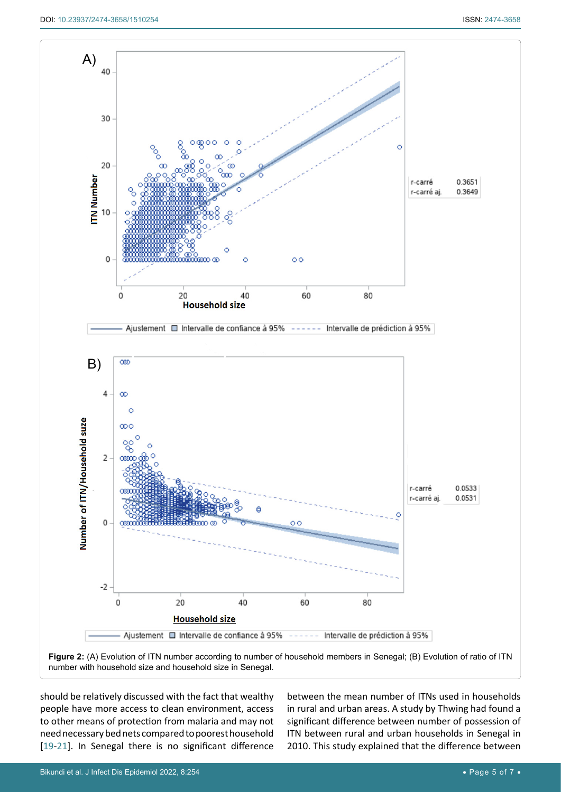

**Figure 2:** (A) Evolution of ITN number according to number of household members in Senegal; (B) Evolution of ratio of ITN number with household size and household size in Senegal.

should be relatively discussed with the fact that wealthy people have more access to clean environment, access to other means of protection from malaria and may not need necessary bed nets compared to poorest household [[19](#page-6-8)[-21\]](#page-6-9). In Senegal there is no significant difference

between the mean number of ITNs used in households in rural and urban areas. A study by Thwing had found a significant difference between number of possession of ITN between rural and urban households in Senegal in 2010. This study explained that the difference between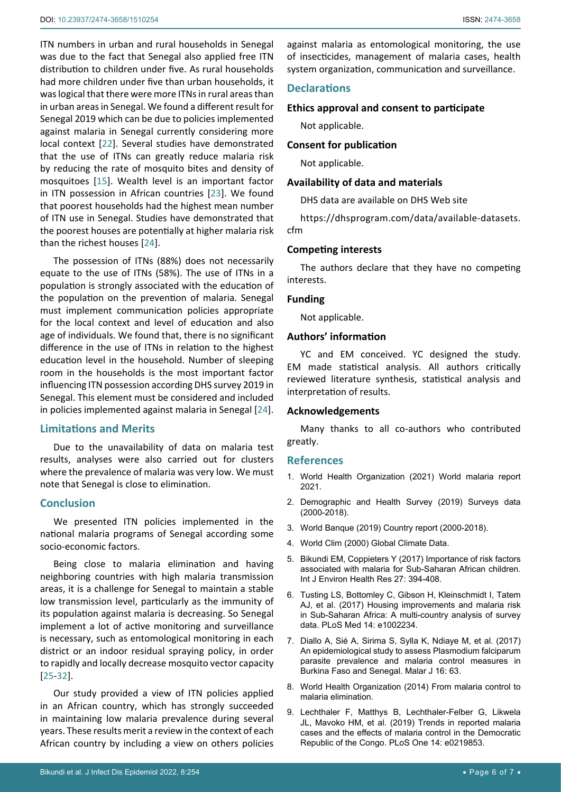ITN numbers in urban and rural households in Senegal was due to the fact that Senegal also applied free ITN distribution to children under five. As rural households had more children under five than urban households, it was logical that there were more ITNs in rural areas than in urban areas in Senegal. We found a different result for Senegal 2019 which can be due to policies implemented against malaria in Senegal currently considering more local context [\[22](#page-6-10)]. Several studies have demonstrated that the use of ITNs can greatly reduce malaria risk by reducing the rate of mosquito bites and density of mosquitoes [[15\]](#page-6-5). Wealth level is an important factor in ITN possession in African countries [[23\]](#page-6-11). We found that poorest households had the highest mean number of ITN use in Senegal. Studies have demonstrated that the poorest houses are potentially at higher malaria risk than the richest houses [[24](#page-6-12)].

The possession of ITNs (88%) does not necessarily equate to the use of ITNs (58%). The use of ITNs in a population is strongly associated with the education of the population on the prevention of malaria. Senegal must implement communication policies appropriate for the local context and level of education and also age of individuals. We found that, there is no significant difference in the use of ITNs in relation to the highest education level in the household. Number of sleeping room in the households is the most important factor influencing ITN possession according DHS survey 2019 in Senegal. This element must be considered and included in policies implemented against malaria in Senegal [\[24](#page-6-12)].

### **Limitations and Merits**

Due to the unavailability of data on malaria test results, analyses were also carried out for clusters where the prevalence of malaria was very low. We must note that Senegal is close to elimination.

### **Conclusion**

We presented ITN policies implemented in the national malaria programs of Senegal according some socio-economic factors.

Being close to malaria elimination and having neighboring countries with high malaria transmission areas, it is a challenge for Senegal to maintain a stable low transmission level, particularly as the immunity of its population against malaria is decreasing. So Senegal implement a lot of active monitoring and surveillance is necessary, such as entomological monitoring in each district or an indoor residual spraying policy, in order to rapidly and locally decrease mosquito vector capacity [[25](#page-6-13)[-32\]](#page-6-14).

Our study provided a view of ITN policies applied in an African country, which has strongly succeeded in maintaining low malaria prevalence during several years. These results merit a review in the context of each African country by including a view on others policies

against malaria as entomological monitoring, the use of insecticides, management of malaria cases, health system organization, communication and surveillance.

## **Declarations**

#### **Ethics approval and consent to participate**

Not applicable.

#### **Consent for publication**

Not applicable.

#### **Availability of data and materials**

DHS data are available on DHS Web site

[https://dhsprogram.com/data/available-datasets.](https://dhsprogram.com/data/available-datasets.cfm) [cfm](https://dhsprogram.com/data/available-datasets.cfm)

#### **Competing interests**

The authors declare that they have no competing interests.

#### **Funding**

Not applicable.

## **Authors' information**

YC and EM conceived. YC designed the study. EM made statistical analysis. All authors critically reviewed literature synthesis, statistical analysis and interpretation of results.

#### **Acknowledgements**

Many thanks to all co-authors who contributed greatly.

## **References**

- <span id="page-5-0"></span>1. [World Health Organization \(2021\) World malaria report](https://www.who.int/teams/global-malaria-programme/reports/world-malaria-report-2021)  [2021.](https://www.who.int/teams/global-malaria-programme/reports/world-malaria-report-2021)
- <span id="page-5-1"></span>2. [Demographic and Health Survey \(2019\) Surveys data](https://dhsprogram.com/Data/)  [\(2000-2018\).](https://dhsprogram.com/Data/)
- <span id="page-5-2"></span>3. [World Banque \(2019\) Country report \(2000-2018\).](https://data.worldbank.org/country)
- <span id="page-5-3"></span>4. [World Clim \(2000\) Global Climate Data.](https://www.worldclim.org/)
- <span id="page-5-4"></span>5. [Bikundi EM, Coppieters Y \(2017\) Importance of risk factors](https://pubmed.ncbi.nlm.nih.gov/28786293/)  [associated with malaria for Sub-Saharan African children.](https://pubmed.ncbi.nlm.nih.gov/28786293/)  [Int J Environ Health Res 27: 394-408.](https://pubmed.ncbi.nlm.nih.gov/28786293/)
- 6. [Tusting LS, Bottomley C, Gibson H, Kleinschmidt I, Tatem](https://pubmed.ncbi.nlm.nih.gov/28222094/)  [AJ, et al. \(2017\) Housing improvements and malaria risk](https://pubmed.ncbi.nlm.nih.gov/28222094/)  [in Sub-Saharan Africa: A multi-country analysis of survey](https://pubmed.ncbi.nlm.nih.gov/28222094/)  [data. PLoS Med 14: e1002234.](https://pubmed.ncbi.nlm.nih.gov/28222094/)
- <span id="page-5-5"></span>7. [Diallo A, Sié A, Sirima S, Sylla K, Ndiaye M, et al. \(2017\)](https://pubmed.ncbi.nlm.nih.gov/28166794/)  [An epidemiological study to assess Plasmodium falciparum](https://pubmed.ncbi.nlm.nih.gov/28166794/)  [parasite prevalence and malaria control measures in](https://pubmed.ncbi.nlm.nih.gov/28166794/)  [Burkina Faso and Senegal. Malar J 16: 63.](https://pubmed.ncbi.nlm.nih.gov/28166794/)
- <span id="page-5-6"></span>8. [World Health Organization \(2014\) From malaria control to](https://apps.who.int/iris/bitstream/handle/10665/112485/9789241507028_eng.pdf?sequence=1)  [malaria elimination.](https://apps.who.int/iris/bitstream/handle/10665/112485/9789241507028_eng.pdf?sequence=1)
- <span id="page-5-7"></span>9. [Lechthaler F, Matthys B, Lechthaler-Felber G, Likwela](https://pubmed.ncbi.nlm.nih.gov/31344062/)  [JL, Mavoko HM, et al. \(2019\) Trends in reported malaria](https://pubmed.ncbi.nlm.nih.gov/31344062/)  [cases and the effects of malaria control in the Democratic](https://pubmed.ncbi.nlm.nih.gov/31344062/)  [Republic of the Congo. PLoS One 14: e0219853.](https://pubmed.ncbi.nlm.nih.gov/31344062/)